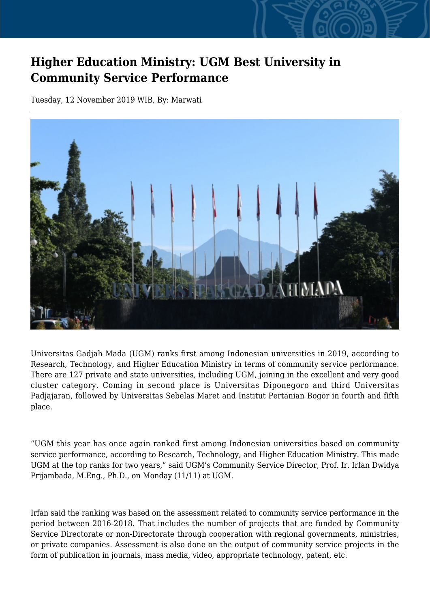## **Higher Education Ministry: UGM Best University in Community Service Performance**

Tuesday, 12 November 2019 WIB, By: Marwati



Universitas Gadjah Mada (UGM) ranks first among Indonesian universities in 2019, according to Research, Technology, and Higher Education Ministry in terms of community service performance. There are 127 private and state universities, including UGM, joining in the excellent and very good cluster category. Coming in second place is Universitas Diponegoro and third Universitas Padjajaran, followed by Universitas Sebelas Maret and Institut Pertanian Bogor in fourth and fifth place.

"UGM this year has once again ranked first among Indonesian universities based on community service performance, according to Research, Technology, and Higher Education Ministry. This made UGM at the top ranks for two years," said UGM's Community Service Director, Prof. Ir. Irfan Dwidya Prijambada, M.Eng., Ph.D., on Monday (11/11) at UGM.

Irfan said the ranking was based on the assessment related to community service performance in the period between 2016-2018. That includes the number of projects that are funded by Community Service Directorate or non-Directorate through cooperation with regional governments, ministries, or private companies. Assessment is also done on the output of community service projects in the form of publication in journals, mass media, video, appropriate technology, patent, etc.